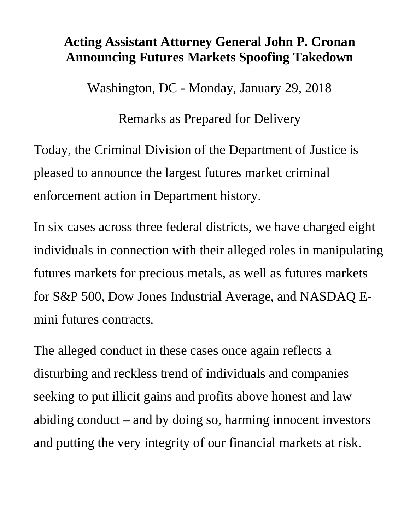## **Acting Assistant Attorney General John P. Cronan Announcing Futures Markets Spoofing Takedown**

Washington, DC - Monday, January 29, 2018

Remarks as Prepared for Delivery

Today, the Criminal Division of the Department of Justice is pleased to announce the largest futures market criminal enforcement action in Department history.

In six cases across three federal districts, we have charged eight individuals in connection with their alleged roles in manipulating futures markets for precious metals, as well as futures markets for S&P 500, Dow Jones Industrial Average, and NASDAQ Emini futures contracts.

The alleged conduct in these cases once again reflects a disturbing and reckless trend of individuals and companies seeking to put illicit gains and profits above honest and law abiding conduct – and by doing so, harming innocent investors and putting the very integrity of our financial markets at risk.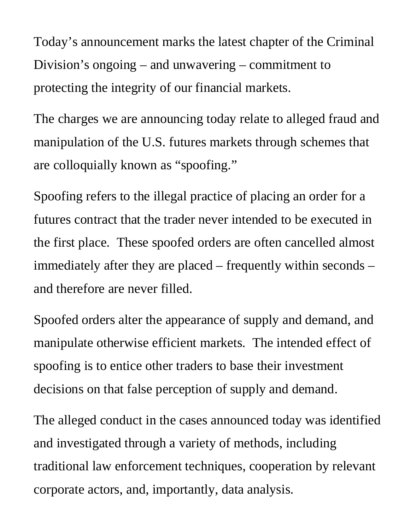Today's announcement marks the latest chapter of the Criminal Division's ongoing – and unwavering – commitment to protecting the integrity of our financial markets.

The charges we are announcing today relate to alleged fraud and manipulation of the U.S. futures markets through schemes that are colloquially known as "spoofing."

Spoofing refers to the illegal practice of placing an order for a futures contract that the trader never intended to be executed in the first place. These spoofed orders are often cancelled almost immediately after they are placed – frequently within seconds – and therefore are never filled.

Spoofed orders alter the appearance of supply and demand, and manipulate otherwise efficient markets. The intended effect of spoofing is to entice other traders to base their investment decisions on that false perception of supply and demand.

The alleged conduct in the cases announced today was identified and investigated through a variety of methods, including traditional law enforcement techniques, cooperation by relevant corporate actors, and, importantly, data analysis.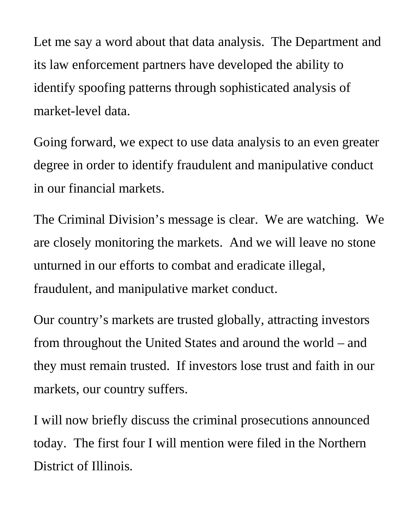Let me say a word about that data analysis. The Department and its law enforcement partners have developed the ability to identify spoofing patterns through sophisticated analysis of market-level data.

Going forward, we expect to use data analysis to an even greater degree in order to identify fraudulent and manipulative conduct in our financial markets.

The Criminal Division's message is clear. We are watching. We are closely monitoring the markets. And we will leave no stone unturned in our efforts to combat and eradicate illegal, fraudulent, and manipulative market conduct.

Our country's markets are trusted globally, attracting investors from throughout the United States and around the world – and they must remain trusted. If investors lose trust and faith in our markets, our country suffers.

I will now briefly discuss the criminal prosecutions announced today. The first four I will mention were filed in the Northern District of Illinois.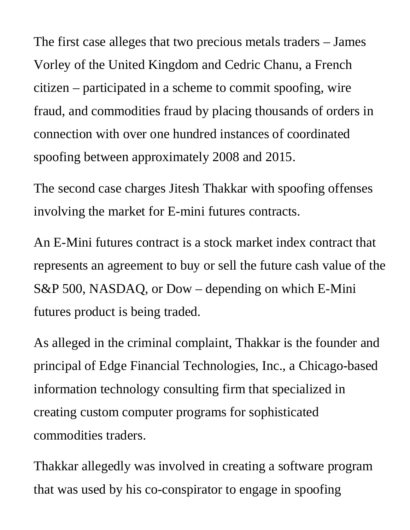The first case alleges that two precious metals traders – James Vorley of the United Kingdom and Cedric Chanu, a French citizen – participated in a scheme to commit spoofing, wire fraud, and commodities fraud by placing thousands of orders in connection with over one hundred instances of coordinated spoofing between approximately 2008 and 2015.

The second case charges Jitesh Thakkar with spoofing offenses involving the market for E-mini futures contracts.

An E-Mini futures contract is a stock market index contract that represents an agreement to buy or sell the future cash value of the S&P 500, NASDAQ, or Dow – depending on which E-Mini futures product is being traded.

As alleged in the criminal complaint, Thakkar is the founder and principal of Edge Financial Technologies, Inc., a Chicago-based information technology consulting firm that specialized in creating custom computer programs for sophisticated commodities traders.

Thakkar allegedly was involved in creating a software program that was used by his co-conspirator to engage in spoofing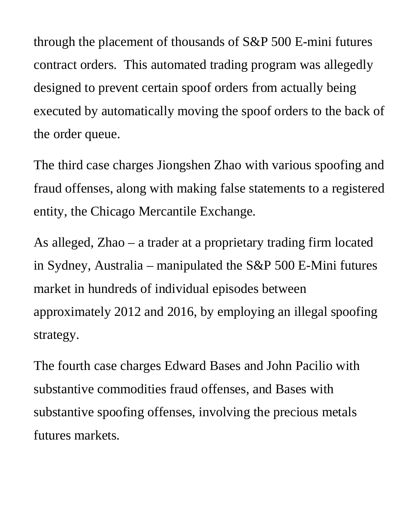through the placement of thousands of S&P 500 E-mini futures contract orders. This automated trading program was allegedly designed to prevent certain spoof orders from actually being executed by automatically moving the spoof orders to the back of the order queue.

The third case charges Jiongshen Zhao with various spoofing and fraud offenses, along with making false statements to a registered entity, the Chicago Mercantile Exchange.

As alleged, Zhao – a trader at a proprietary trading firm located in Sydney, Australia – manipulated the S&P 500 E-Mini futures market in hundreds of individual episodes between approximately 2012 and 2016, by employing an illegal spoofing strategy.

The fourth case charges Edward Bases and John Pacilio with substantive commodities fraud offenses, and Bases with substantive spoofing offenses, involving the precious metals futures markets.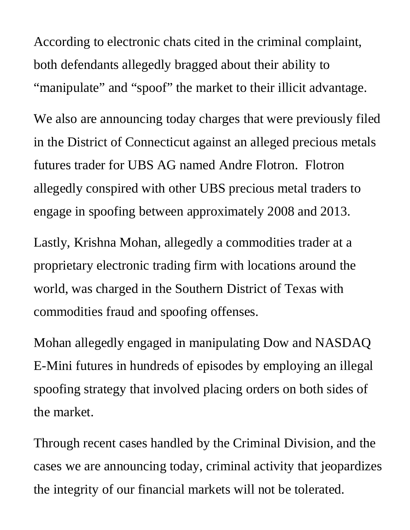According to electronic chats cited in the criminal complaint, both defendants allegedly bragged about their ability to "manipulate" and "spoof" the market to their illicit advantage.

We also are announcing today charges that were previously filed in the District of Connecticut against an alleged precious metals futures trader for UBS AG named Andre Flotron. Flotron allegedly conspired with other UBS precious metal traders to engage in spoofing between approximately 2008 and 2013.

Lastly, Krishna Mohan, allegedly a commodities trader at a proprietary electronic trading firm with locations around the world, was charged in the Southern District of Texas with commodities fraud and spoofing offenses.

Mohan allegedly engaged in manipulating Dow and NASDAQ E-Mini futures in hundreds of episodes by employing an illegal spoofing strategy that involved placing orders on both sides of the market.

Through recent cases handled by the Criminal Division, and the cases we are announcing today, criminal activity that jeopardizes the integrity of our financial markets will not be tolerated.